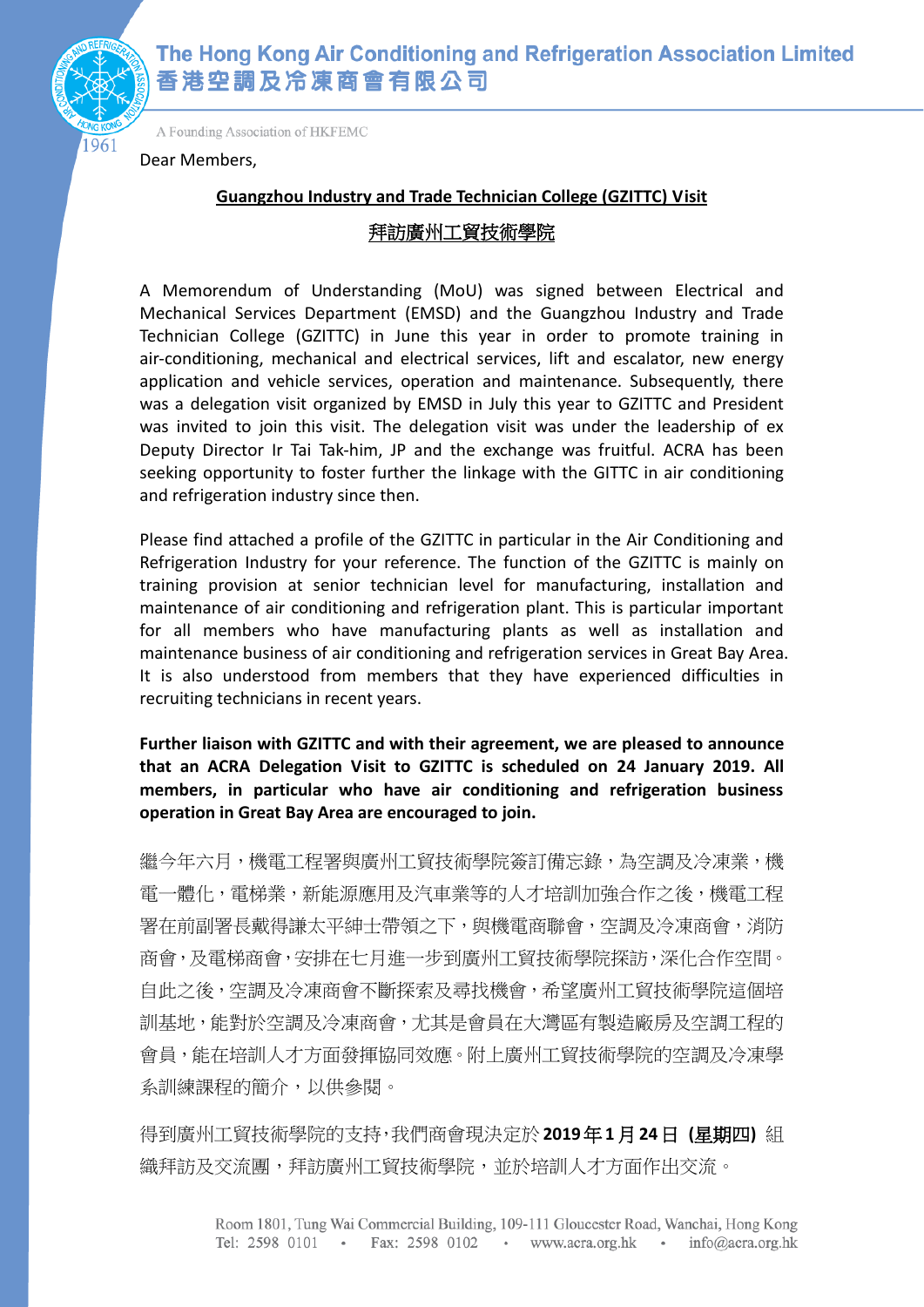

961

A Founding Association of HKFEMC

Dear Members,

### **Guangzhou Industry and Trade Technician College (GZITTC) Visit**

### 拜訪廣州工貿技術學院

A Memorendum of Understanding (MoU) was signed between Electrical and Mechanical Services Department (EMSD) and the Guangzhou Industry and Trade Technician College (GZITTC) in June this year in order to promote training in air-conditioning, mechanical and electrical services, lift and escalator, new energy application and vehicle services, operation and maintenance. Subsequently, there was a delegation visit organized by EMSD in July this year to GZITTC and President was invited to join this visit. The delegation visit was under the leadership of ex Deputy Director Ir Tai Tak-him, JP and the exchange was fruitful. ACRA has been seeking opportunity to foster further the linkage with the GITTC in air conditioning and refrigeration industry since then.

Please find attached a profile of the GZITTC in particular in the Air Conditioning and Refrigeration Industry for your reference. The function of the GZITTC is mainly on training provision at senior technician level for manufacturing, installation and maintenance of air conditioning and refrigeration plant. This is particular important for all members who have manufacturing plants as well as installation and maintenance business of air conditioning and refrigeration services in Great Bay Area. It is also understood from members that they have experienced difficulties in recruiting technicians in recent years.

**Further liaison with GZITTC and with their agreement, we are pleased to announce that an ACRA Delegation Visit to GZITTC is scheduled on 24 January 2019. All members, in particular who have air conditioning and refrigeration business operation in Great Bay Area are encouraged to join.**

繼今年六月,機電工程署與廣州工貿技術學院簽訂備忘錄,為空調及冷凍業,機 電一體化,電梯業,新能源應用及汽車業等的人才培訓加強合作之後,機電工程 署在前副署長戴得謙太平紳士帶領之下,與機電商聯會,空調及冷凍商會,消防 商會,及電梯商會,安排在七月進一步到廣州工貿技術學院探訪,深化合作空間。 自此之後,空調及冷凍商會不斷探索及尋找機會,希望廣州工貿技術學院這個培 訓基地,能對於空調及冷凍商會,尤其是會員在大灣區有製造廠房及空調工程的 會員,能在培訓人才方面發揮協同效應。附上廣州工貿技術學院的空調及冷凍學 系訓練課程的簡介,以供參閱。

得到廣州工貿技術學院的支持,我們商會現決定於**2019**年**1**月**24**日 **(**星期四**)** 組 織拜訪及交流團,拜訪廣州工貿技術學院,並於培訓人才方面作出交流。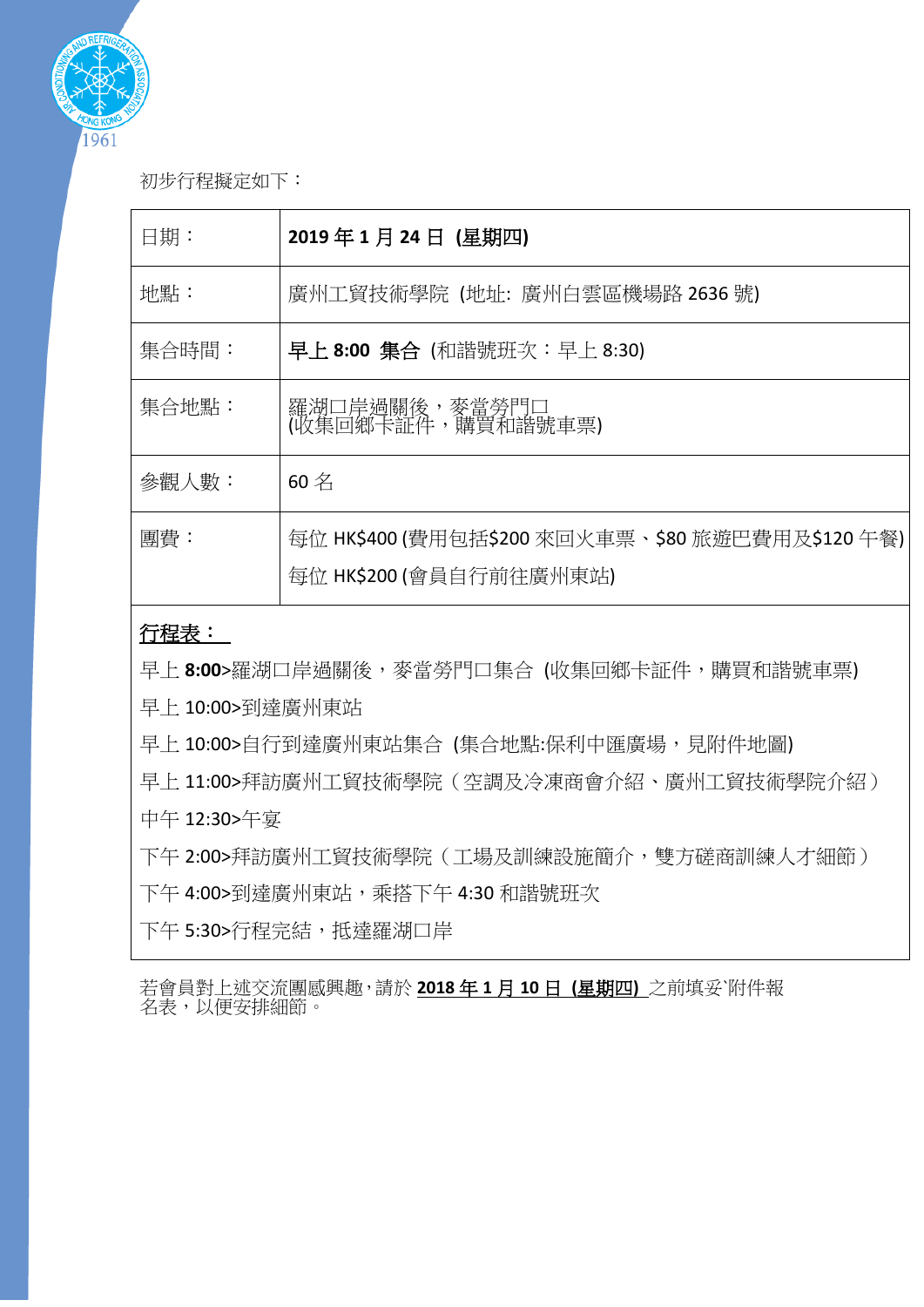

初步行程擬定如下:

| 日期:   | 2019年1月24日 (星期四)                                                            |
|-------|-----------------------------------------------------------------------------|
| 地點:   | 廣州工貿技術學院 (地址:廣州白雲區機場路 2636 號)                                               |
| 集合時間: | 早上 8:00 集合 (和諧號班次:早上 8:30)                                                  |
| 集合地點: | 羅湖口岸過關後,麥當勞門口<br>(收集回鄉卡証件,購買和諧號車票)                                          |
| 參觀人數: | $60 \nless$                                                                 |
| 團費:   | 每位 HK\$400 (費用包括\$200 來回火車票、\$80 旅遊巴費用及\$120 午餐)<br>每位 HK\$200 (會員自行前往廣州東站) |

## 行程表:

早上8:00>羅湖口岸過關後,麥當勞門口集合 (收集回鄉卡証件,購買和諧號車票)

早上 10:00>到達廣州東站

早上 10:00>自行到達廣州東站集合 (集合地點:保利中匯廣場,見附件地圖)

早上 11:00>拜訪廣州工貿技術學院(空調及冷凍商會介紹、廣州工貿技術學院介紹) 中午 12:30>午宴

下午 2:00>拜訪廣州工貿技術學院(工場及訓練設施簡介,雙方磋商訓練人才細節) 下午 4:00>到達廣州東站,乘搭下午 4:30 和諧號班次

下午 5:30>行程完結,抵達羅湖口岸

若會員對上述交流團感興趣,請於 **2018** 年 **1** 月 **10** 日 **(**星期四**)** 之前填妥`附件報 名表,以便安排細節。